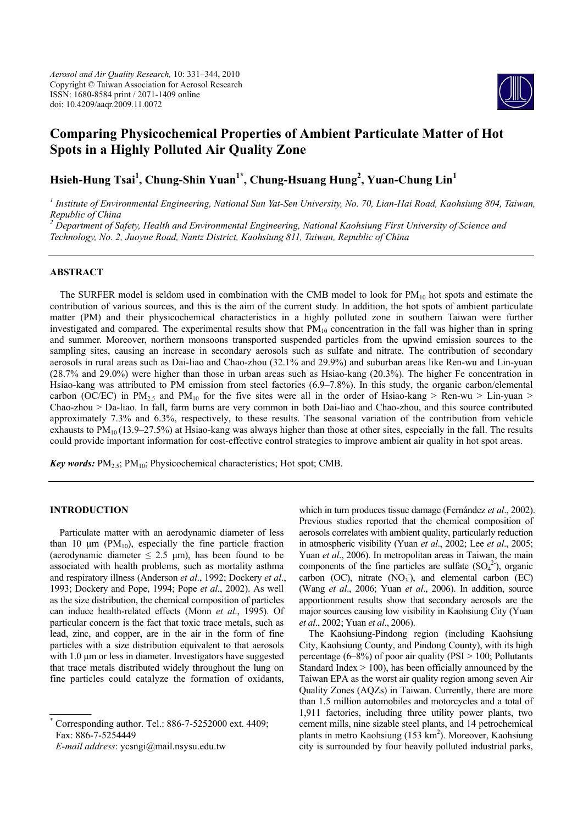

# **Comparing Physicochemical Properties of Ambient Particulate Matter of Hot Spots in a Highly Polluted Air Quality Zone**

**Hsieh-Hung Tsai<sup>1</sup> , Chung-Shin Yuan1\*, Chung-Hsuang Hung2 , Yuan-Chung Lin1** 

<sup>1</sup> Institute of Environmental Engineering, National Sun Yat-Sen University, No. 70, Lian-Hai Road, Kaohsiung 804, Taiwan, *Republic of China 2 Department of Safety, Health and Environmental Engineering, National Kaohsiung First University of Science and* 

*Technology, No. 2, Juoyue Road, Nantz District, Kaohsiung 811, Taiwan, Republic of China* 

# **ABSTRACT**

The SURFER model is seldom used in combination with the CMB model to look for  $PM_{10}$  hot spots and estimate the contribution of various sources, and this is the aim of the current study. In addition, the hot spots of ambient particulate matter (PM) and their physicochemical characteristics in a highly polluted zone in southern Taiwan were further investigated and compared. The experimental results show that  $PM_{10}$  concentration in the fall was higher than in spring and summer. Moreover, northern monsoons transported suspended particles from the upwind emission sources to the sampling sites, causing an increase in secondary aerosols such as sulfate and nitrate. The contribution of secondary aerosols in rural areas such as Dai-liao and Chao-zhou (32.1% and 29.9%) and suburban areas like Ren-wu and Lin-yuan (28.7% and 29.0%) were higher than those in urban areas such as Hsiao-kang (20.3%). The higher Fe concentration in Hsiao-kang was attributed to PM emission from steel factories (6.9–7.8%). In this study, the organic carbon/elemental carbon (OC/EC) in  $PM_{2.5}$  and  $PM_{10}$  for the five sites were all in the order of Hsiao-kang > Ren-wu > Lin-yuan > Chao-zhou > Da-liao. In fall, farm burns are very common in both Dai-liao and Chao-zhou, and this source contributed approximately 7.3% and 6.3%, respectively, to these results. The seasonal variation of the contribution from vehicle exhausts to  $PM_{10}$  (13.9–27.5%) at Hsiao-kang was always higher than those at other sites, especially in the fall. The results could provide important information for cost-effective control strategies to improve ambient air quality in hot spot areas.

**Key words:**  $PM_{2.5}$ ;  $PM_{10}$ ; Physicochemical characteristics; Hot spot; CMB.

# **INTRODUCTION**

Particulate matter with an aerodynamic diameter of less than 10  $\mu$ m (PM<sub>10</sub>), especially the fine particle fraction (aerodynamic diameter  $\leq 2.5$  µm), has been found to be associated with health problems, such as mortality asthma and respiratory illness (Anderson *et al*., 1992; Dockery *et al*., 1993; Dockery and Pope, 1994; Pope *et al*., 2002). As well as the size distribution, the chemical composition of particles can induce health-related effects (Monn *et al*., 1995). Of particular concern is the fact that toxic trace metals, such as lead, zinc, and copper, are in the air in the form of fine particles with a size distribution equivalent to that aerosols with 1.0 μm or less in diameter. Investigators have suggested that trace metals distributed widely throughout the lung on fine particles could catalyze the formation of oxidants,

\* Corresponding author. Tel.: 886-7-5252000 ext. 4409; Fax: 886-7-5254449

*E-mail address*: ycsngi@mail.nsysu.edu.tw

which in turn produces tissue damage (Fernández *et al*., 2002). Previous studies reported that the chemical composition of aerosols correlates with ambient quality, particularly reduction in atmospheric visibility (Yuan *et al*., 2002; Lee *et al*., 2005; Yuan *et al*., 2006). In metropolitan areas in Taiwan, the main components of the fine particles are sulfate  $(SO<sub>4</sub><sup>2</sup>)$ , organic carbon  $(OC)$ , nitrate  $(NO<sub>3</sub>)$ , and elemental carbon  $(EC)$ (Wang *et al*., 2006; Yuan *et al*., 2006). In addition, source apportionment results show that secondary aerosols are the major sources causing low visibility in Kaohsiung City (Yuan *et al*., 2002; Yuan *et al*., 2006).

The Kaohsiung-Pindong region (including Kaohsiung City, Kaohsiung County, and Pindong County), with its high percentage (6–8%) of poor air quality (PSI  $> 100$ ; Pollutants Standard Index  $> 100$ ), has been officially announced by the Taiwan EPA as the worst air quality region among seven Air Quality Zones (AQZs) in Taiwan. Currently, there are more than 1.5 million automobiles and motorcycles and a total of 1,911 factories, including three utility power plants, two cement mills, nine sizable steel plants, and 14 petrochemical plants in metro Kaohsiung (153 km<sup>2</sup>). Moreover, Kaohsiung city is surrounded by four heavily polluted industrial parks,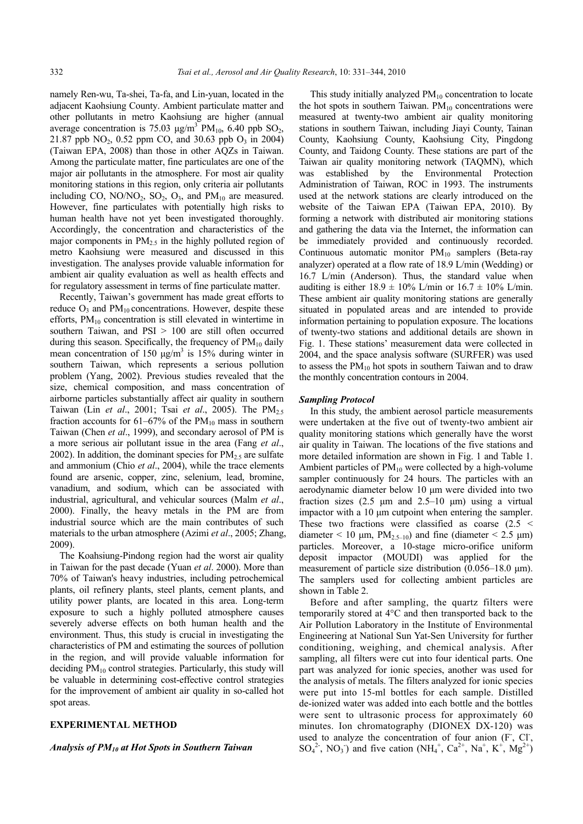namely Ren-wu, Ta-shei, Ta-fa, and Lin-yuan, located in the adjacent Kaohsiung County. Ambient particulate matter and other pollutants in metro Kaohsiung are higher (annual average concentration is 75.03  $\mu$ g/m<sup>3</sup> PM<sub>10</sub>, 6.40 ppb SO<sub>2</sub>, 21.87 ppb  $NO_2$ , 0.52 ppm CO, and 30.63 ppb  $O_3$  in 2004) (Taiwan EPA, 2008) than those in other AQZs in Taiwan. Among the particulate matter, fine particulates are one of the major air pollutants in the atmosphere. For most air quality monitoring stations in this region, only criteria air pollutants including CO,  $NO/NO<sub>2</sub>$ ,  $SO<sub>2</sub>$ ,  $O<sub>3</sub>$ , and  $PM<sub>10</sub>$  are measured. However, fine particulates with potentially high risks to human health have not yet been investigated thoroughly. Accordingly, the concentration and characteristics of the major components in  $PM<sub>2.5</sub>$  in the highly polluted region of metro Kaohsiung were measured and discussed in this investigation. The analyses provide valuable information for ambient air quality evaluation as well as health effects and for regulatory assessment in terms of fine particulate matter.

Recently, Taiwan's government has made great efforts to reduce  $O_3$  and  $PM_{10}$  concentrations. However, despite these efforts,  $PM_{10}$  concentration is still elevated in wintertime in southern Taiwan, and PSI > 100 are still often occurred during this season. Specifically, the frequency of  $PM_{10}$  daily mean concentration of 150  $\mu$ g/m<sup>3</sup> is 15% during winter in southern Taiwan, which represents a serious pollution problem (Yang, 2002). Previous studies revealed that the size, chemical composition, and mass concentration of airborne particles substantially affect air quality in southern Taiwan (Lin *et al.*, 2001; Tsai *et al.*, 2005). The PM<sub>2.5</sub> fraction accounts for  $61-67\%$  of the PM<sub>10</sub> mass in southern Taiwan (Chen *et al*., 1999), and secondary aerosol of PM is a more serious air pollutant issue in the area (Fang *et al*., 2002). In addition, the dominant species for  $PM<sub>2.5</sub>$  are sulfate and ammonium (Chio *et al*., 2004), while the trace elements found are arsenic, copper, zinc, selenium, lead, bromine, vanadium, and sodium, which can be associated with industrial, agricultural, and vehicular sources (Malm *et al*., 2000). Finally, the heavy metals in the PM are from industrial source which are the main contributes of such materials to the urban atmosphere (Azimi *et al*., 2005; Zhang, 2009).

The Koahsiung-Pindong region had the worst air quality in Taiwan for the past decade (Yuan *et al*. 2000). More than 70% of Taiwan's heavy industries, including petrochemical plants, oil refinery plants, steel plants, cement plants, and utility power plants, are located in this area. Long-term exposure to such a highly polluted atmosphere causes severely adverse effects on both human health and the environment. Thus, this study is crucial in investigating the characteristics of PM and estimating the sources of pollution in the region, and will provide valuable information for deciding  $PM_{10}$  control strategies. Particularly, this study will be valuable in determining cost-effective control strategies for the improvement of ambient air quality in so-called hot spot areas.

# **EXPERIMENTAL METHOD**

# *Analysis of PM10 at Hot Spots in Southern Taiwan*

This study initially analyzed  $PM_{10}$  concentration to locate the hot spots in southern Taiwan.  $PM_{10}$  concentrations were measured at twenty-two ambient air quality monitoring stations in southern Taiwan, including Jiayi County, Tainan County, Kaohsiung County, Kaohsiung City, Pingdong County, and Taidong County. These stations are part of the Taiwan air quality monitoring network (TAQMN), which was established by the Environmental Protection Administration of Taiwan, ROC in 1993. The instruments used at the network stations are clearly introduced on the website of the Taiwan EPA (Taiwan EPA, 2010). By forming a network with distributed air monitoring stations and gathering the data via the Internet, the information can be immediately provided and continuously recorded. Continuous automatic monitor  $PM_{10}$  samplers (Beta-ray analyzer) operated at a flow rate of 18.9 L/min (Wedding) or 16.7 L/min (Anderson). Thus, the standard value when auditing is either  $18.9 \pm 10\%$  L/min or  $16.7 \pm 10\%$  L/min. These ambient air quality monitoring stations are generally situated in populated areas and are intended to provide information pertaining to population exposure. The locations of twenty-two stations and additional details are shown in Fig. 1. These stations' measurement data were collected in 2004, and the space analysis software (SURFER) was used to assess the  $PM_{10}$  hot spots in southern Taiwan and to draw the monthly concentration contours in 2004.

# *Sampling Protocol*

In this study, the ambient aerosol particle measurements were undertaken at the five out of twenty-two ambient air quality monitoring stations which generally have the worst air quality in Taiwan. The locations of the five stations and more detailed information are shown in Fig. 1 and Table 1. Ambient particles of  $PM_{10}$  were collected by a high-volume sampler continuously for 24 hours. The particles with an aerodynamic diameter below 10 μm were divided into two fraction sizes (2.5  $\mu$ m and 2.5–10  $\mu$ m) using a virtual impactor with a 10 μm cutpoint when entering the sampler. These two fractions were classified as coarse (2.5 < diameter  $\leq 10$  μm, PM<sub>2.5–10</sub>) and fine (diameter  $\leq 2.5$  μm) particles. Moreover, a 10-stage micro-orifice uniform deposit impactor (MOUDI) was applied for the measurement of particle size distribution (0.056–18.0 μm). The samplers used for collecting ambient particles are shown in Table 2.

Before and after sampling, the quartz filters were temporarily stored at 4°C and then transported back to the Air Pollution Laboratory in the Institute of Environmental Engineering at National Sun Yat-Sen University for further conditioning, weighing, and chemical analysis. After sampling, all filters were cut into four identical parts. One part was analyzed for ionic species, another was used for the analysis of metals. The filters analyzed for ionic species were put into 15-ml bottles for each sample. Distilled de-ionized water was added into each bottle and the bottles were sent to ultrasonic process for approximately 60 minutes. Ion chromatography (DIONEX DX-120) was used to analyze the concentration of four anion (F, Cl,  $SO_4^2$ , NO<sub>3</sub>) and five cation (NH<sub>4</sub><sup>+</sup>, Ca<sup>2+</sup>, Na<sup>+</sup>, K<sup>+</sup>, Mg<sup>2+</sup>)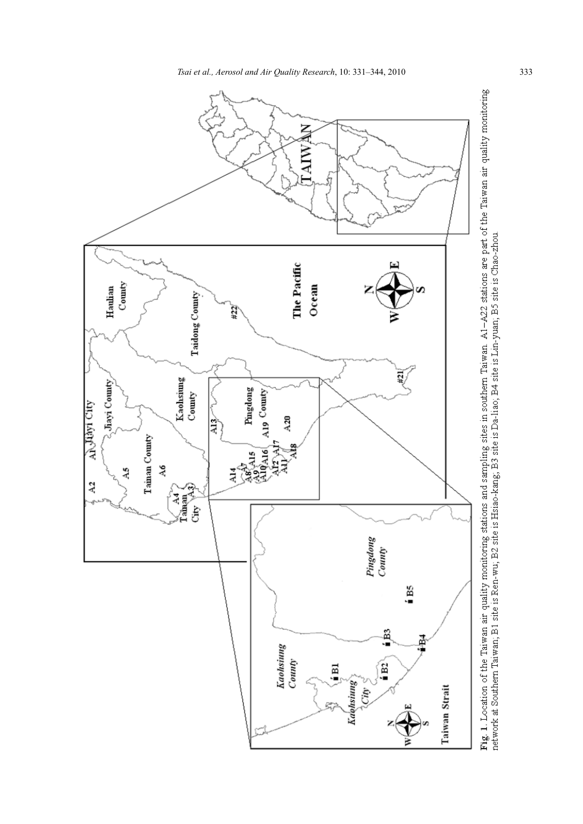

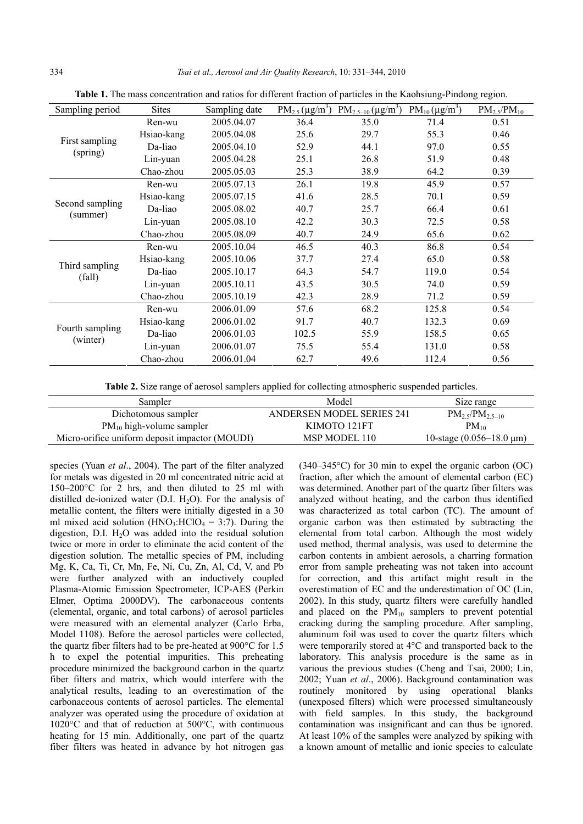| Sampling period             | <b>Sites</b> | Sampling date | $PM_{2.5} (\mu g/m^3)$ | $PM_{2.5-10} (\mu g/m^3)$ | $PM_{10}(\mu g/m^3)$ | $PM_{2.5}/PM_{10}$ |
|-----------------------------|--------------|---------------|------------------------|---------------------------|----------------------|--------------------|
| First sampling<br>(spring)  | Ren-wu       | 2005.04.07    | 36.4                   | 35.0                      | 71.4                 | 0.51               |
|                             | Hsiao-kang   | 2005.04.08    | 25.6                   | 29.7                      | 55.3                 | 0.46               |
|                             | Da-liao      | 2005.04.10    | 52.9                   | 44.1                      | 97.0                 | 0.55               |
|                             | Lin-yuan     | 2005.04.28    | 25.1                   | 26.8                      | 51.9                 | 0.48               |
|                             | Chao-zhou    | 2005.05.03    | 25.3                   | 38.9                      | 64.2                 | 0.39               |
| Second sampling<br>(summer) | Ren-wu       | 2005.07.13    | 26.1                   | 19.8                      | 45.9                 | 0.57               |
|                             | Hsiao-kang   | 2005.07.15    | 41.6                   | 28.5                      | 70.1                 | 0.59               |
|                             | Da-liao      | 2005.08.02    | 40.7                   | 25.7                      | 66.4                 | 0.61               |
|                             | Lin-yuan     | 2005.08.10    | 42.2                   | 30.3                      | 72.5                 | 0.58               |
|                             | Chao-zhou    | 2005.08.09    | 40.7                   | 24.9                      | 65.6                 | 0.62               |
| Third sampling<br>(fall)    | Ren-wu       | 2005.10.04    | 46.5                   | 40.3                      | 86.8                 | 0.54               |
|                             | Hsiao-kang   | 2005.10.06    | 37.7                   | 27.4                      | 65.0                 | 0.58               |
|                             | Da-liao      | 2005.10.17    | 64.3                   | 54.7                      | 119.0                | 0.54               |
|                             | Lin-yuan     | 2005.10.11    | 43.5                   | 30.5                      | 74.0                 | 0.59               |
|                             | Chao-zhou    | 2005.10.19    | 42.3                   | 28.9                      | 71.2                 | 0.59               |
| Fourth sampling<br>(winter) | Ren-wu       | 2006.01.09    | 57.6                   | 68.2                      | 125.8                | 0.54               |
|                             | Hsiao-kang   | 2006.01.02    | 91.7                   | 40.7                      | 132.3                | 0.69               |
|                             | Da-liao      | 2006.01.03    | 102.5                  | 55.9                      | 158.5                | 0.65               |
|                             | Lin-yuan     | 2006.01.07    | 75.5                   | 55.4                      | 131.0                | 0.58               |
|                             | Chao-zhou    | 2006.01.04    | 62.7                   | 49.6                      | 112.4                | 0.56               |

**Table 1.** The mass concentration and ratios for different fraction of particles in the Kaohsiung-Pindong region.

**Table 2.** Size range of aerosol samplers applied for collecting atmospheric suspended particles.

| Sampler                                        | Model                            | Size range                                  |  |  |  |
|------------------------------------------------|----------------------------------|---------------------------------------------|--|--|--|
| Dichotomous sampler                            | <b>ANDERSEN MODEL SERIES 241</b> | $PM_{2.5}/PM_{2.5-10}$                      |  |  |  |
| $PM_{10}$ high-volume sampler                  | KIMOTO 121FT                     | $PM_{10}$                                   |  |  |  |
| Micro-orifice uniform deposit impactor (MOUDI) | MSP MODEL 110                    | 10-stage $(0.056-18.0 \text{ }\mu\text{m})$ |  |  |  |
|                                                |                                  |                                             |  |  |  |

species (Yuan *et al*., 2004). The part of the filter analyzed for metals was digested in 20 ml concentrated nitric acid at 150–200°C for 2 hrs, and then diluted to 25 ml with distilled de-ionized water  $(D.I. H<sub>2</sub>O)$ . For the analysis of metallic content, the filters were initially digested in a 30 ml mixed acid solution (HNO<sub>3</sub>:HClO<sub>4</sub> = 3:7). During the digestion, D.I.  $H<sub>2</sub>O$  was added into the residual solution twice or more in order to eliminate the acid content of the digestion solution. The metallic species of PM, including Mg, K, Ca, Ti, Cr, Mn, Fe, Ni, Cu, Zn, Al, Cd, V, and Pb were further analyzed with an inductively coupled Plasma-Atomic Emission Spectrometer, ICP-AES (Perkin Elmer, Optima 2000DV). The carbonaceous contents (elemental, organic, and total carbons) of aerosol particles were measured with an elemental analyzer (Carlo Erba, Model 1108). Before the aerosol particles were collected, the quartz fiber filters had to be pre-heated at 900°C for 1.5 h to expel the potential impurities. This preheating procedure minimized the background carbon in the quartz fiber filters and matrix, which would interfere with the analytical results, leading to an overestimation of the carbonaceous contents of aerosol particles. The elemental analyzer was operated using the procedure of oxidation at 1020°C and that of reduction at 500°C, with continuous heating for 15 min. Additionally, one part of the quartz fiber filters was heated in advance by hot nitrogen gas (340–345°C) for 30 min to expel the organic carbon (OC) fraction, after which the amount of elemental carbon (EC) was determined. Another part of the quartz fiber filters was analyzed without heating, and the carbon thus identified was characterized as total carbon (TC). The amount of organic carbon was then estimated by subtracting the elemental from total carbon. Although the most widely used method, thermal analysis, was used to determine the carbon contents in ambient aerosols, a charring formation error from sample preheating was not taken into account for correction, and this artifact might result in the overestimation of EC and the underestimation of OC (Lin, 2002). In this study, quartz filters were carefully handled and placed on the  $PM_{10}$  samplers to prevent potential cracking during the sampling procedure. After sampling, aluminum foil was used to cover the quartz filters which were temporarily stored at 4°C and transported back to the laboratory. This analysis procedure is the same as in various the previous studies (Cheng and Tsai, 2000; Lin, 2002; Yuan *et al*., 2006). Background contamination was routinely monitored by using operational blanks (unexposed filters) which were processed simultaneously with field samples. In this study, the background contamination was insignificant and can thus be ignored. At least 10% of the samples were analyzed by spiking with a known amount of metallic and ionic species to calculate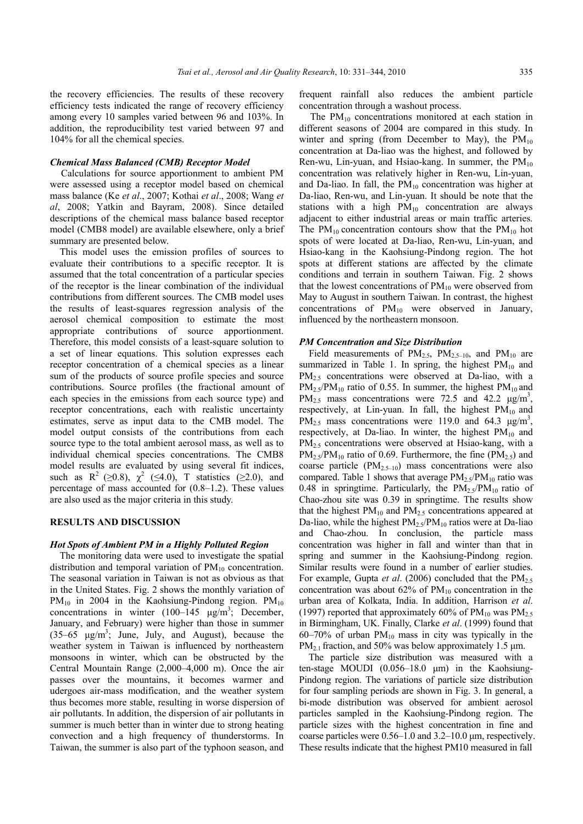the recovery efficiencies. The results of these recovery efficiency tests indicated the range of recovery efficiency among every 10 samples varied between 96 and 103%. In addition, the reproducibility test varied between 97 and 104% for all the chemical species.

# *Chemical Mass Balanced (CMB) Receptor Model*

Calculations for source apportionment to ambient PM were assessed using a receptor model based on chemical mass balance (Ke *et al*., 2007; Kothai *et al*., 2008; Wang *et al*, 2008; Yatkin and Bayram, 2008). Since detailed descriptions of the chemical mass balance based receptor model (CMB8 model) are available elsewhere, only a brief summary are presented below.

This model uses the emission profiles of sources to evaluate their contributions to a specific receptor. It is assumed that the total concentration of a particular species of the receptor is the linear combination of the individual contributions from different sources. The CMB model uses the results of least-squares regression analysis of the aerosol chemical composition to estimate the most appropriate contributions of source apportionment. Therefore, this model consists of a least-square solution to a set of linear equations. This solution expresses each receptor concentration of a chemical species as a linear sum of the products of source profile species and source contributions. Source profiles (the fractional amount of each species in the emissions from each source type) and receptor concentrations, each with realistic uncertainty estimates, serve as input data to the CMB model. The model output consists of the contributions from each source type to the total ambient aerosol mass, as well as to individual chemical species concentrations. The CMB8 model results are evaluated by using several fit indices, such as  $R^2$  ( $\geq 0.8$ ),  $\chi^2$  ( $\leq 4.0$ ), T statistics ( $\geq 2.0$ ), and percentage of mass accounted for (0.8–1.2). These values are also used as the major criteria in this study.

# **RESULTS AND DISCUSSION**

#### *Hot Spots of Ambient PM in a Highly Polluted Region*

The monitoring data were used to investigate the spatial distribution and temporal variation of  $PM_{10}$  concentration. The seasonal variation in Taiwan is not as obvious as that in the United States. Fig. 2 shows the monthly variation of  $PM_{10}$  in 2004 in the Kaohsiung-Pindong region.  $PM_{10}$ concentrations in winter  $(100-145 \text{ µg/m}^3)$ ; December, January, and February) were higher than those in summer  $(35-65 \text{ }\mu\text{g/m}^3)$ ; June, July, and August), because the weather system in Taiwan is influenced by northeastern monsoons in winter, which can be obstructed by the Central Mountain Range (2,000–4,000 m). Once the air passes over the mountains, it becomes warmer and udergoes air-mass modification, and the weather system thus becomes more stable, resulting in worse dispersion of air pollutants. In addition, the dispersion of air pollutants in summer is much better than in winter due to strong heating convection and a high frequency of thunderstorms. In Taiwan, the summer is also part of the typhoon season, and

frequent rainfall also reduces the ambient particle concentration through a washout process.

The  $PM_{10}$  concentrations monitored at each station in different seasons of 2004 are compared in this study. In winter and spring (from December to May), the  $PM_{10}$ concentration at Da-liao was the highest, and followed by Ren-wu, Lin-yuan, and Hsiao-kang. In summer, the  $PM_{10}$ concentration was relatively higher in Ren-wu, Lin-yuan, and Da-liao. In fall, the  $PM_{10}$  concentration was higher at Da-liao, Ren-wu, and Lin-yuan. It should be note that the stations with a high  $PM_{10}$  concentration are always adjacent to either industrial areas or main traffic arteries. The  $PM_{10}$  concentration contours show that the  $PM_{10}$  hot spots of were located at Da-liao, Ren-wu, Lin-yuan, and Hsiao-kang in the Kaohsiung-Pindong region. The hot spots at different stations are affected by the climate conditions and terrain in southern Taiwan. Fig. 2 shows that the lowest concentrations of  $PM_{10}$  were observed from May to August in southern Taiwan. In contrast, the highest concentrations of  $PM_{10}$  were observed in January, influenced by the northeastern monsoon.

#### *PM Concentration and Size Distribution*

Field measurements of  $PM_{2.5}$ ,  $PM_{2.5-10}$ , and  $PM_{10}$  are summarized in Table 1. In spring, the highest  $PM_{10}$  and PM<sub>2.5</sub> concentrations were observed at Da-liao, with a  $PM_{2.5}/PM_{10}$  ratio of 0.55. In summer, the highest  $PM_{10}$  and PM<sub>2.5</sub> mass concentrations were 72.5 and 42.2  $\mu$ g/m<sup>3</sup>, respectively, at Lin-yuan. In fall, the highest  $PM_{10}$  and PM<sub>2.5</sub> mass concentrations were 119.0 and 64.3  $\mu$ g/m<sup>3</sup>, respectively, at Da-liao. In winter, the highest  $PM_{10}$  and PM<sub>2.5</sub> concentrations were observed at Hsiao-kang, with a  $PM_{2.5}/PM_{10}$  ratio of 0.69. Furthermore, the fine (PM<sub>2.5</sub>) and coarse particle  $(PM_{2.5-10})$  mass concentrations were also compared. Table 1 shows that average  $PM_2 \sqrt{s}PM_{10}$  ratio was 0.48 in springtime. Particularly, the  $PM_{2.5}/PM_{10}$  ratio of Chao-zhou site was 0.39 in springtime. The results show that the highest  $PM_{10}$  and  $PM_{25}$  concentrations appeared at Da-liao, while the highest  $PM_{2.5}/PM_{10}$  ratios were at Da-liao and Chao-zhou. In conclusion, the particle mass concentration was higher in fall and winter than that in spring and summer in the Kaohsiung-Pindong region. Similar results were found in a number of earlier studies. For example, Gupta *et al.* (2006) concluded that the PM<sub>2.5</sub> concentration was about  $62\%$  of  $PM_{10}$  concentration in the urban area of Kolkata, India. In addition, Harrison *et al*. (1997) reported that approximately 60% of  $PM_{10}$  was  $PM_{2.5}$ in Birmingham, UK. Finally, Clarke *et al*. (1999) found that  $60-70\%$  of urban PM<sub>10</sub> mass in city was typically in the PM<sub>2.1</sub> fraction, and 50% was below approximately 1.5  $\mu$ m.

The particle size distribution was measured with a ten-stage MOUDI (0.056–18.0 μm) in the Kaohsiung-Pindong region. The variations of particle size distribution for four sampling periods are shown in Fig. 3. In general, a bi-mode distribution was observed for ambient aerosol particles sampled in the Kaohsiung-Pindong region. The particle sizes with the highest concentration in fine and coarse particles were 0.56–1.0 and 3.2–10.0 μm, respectively. These results indicate that the highest PM10 measured in fall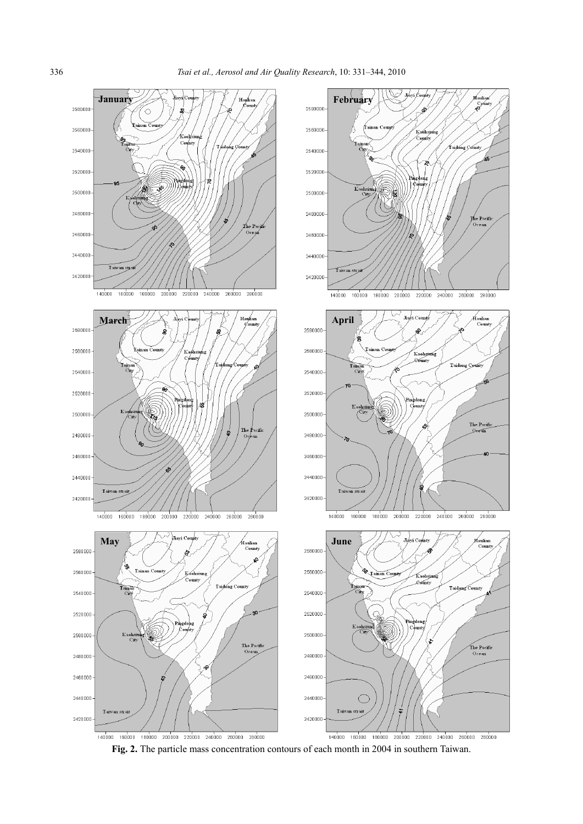

**Fig. 2.** The particle mass concentration contours of each month in 2004 in southern Taiwan.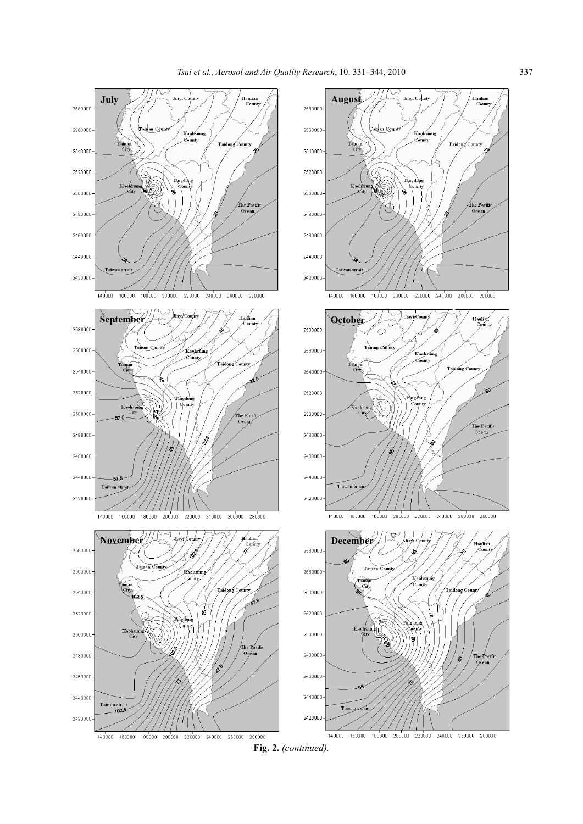

**Fig. 2.** *(continued).*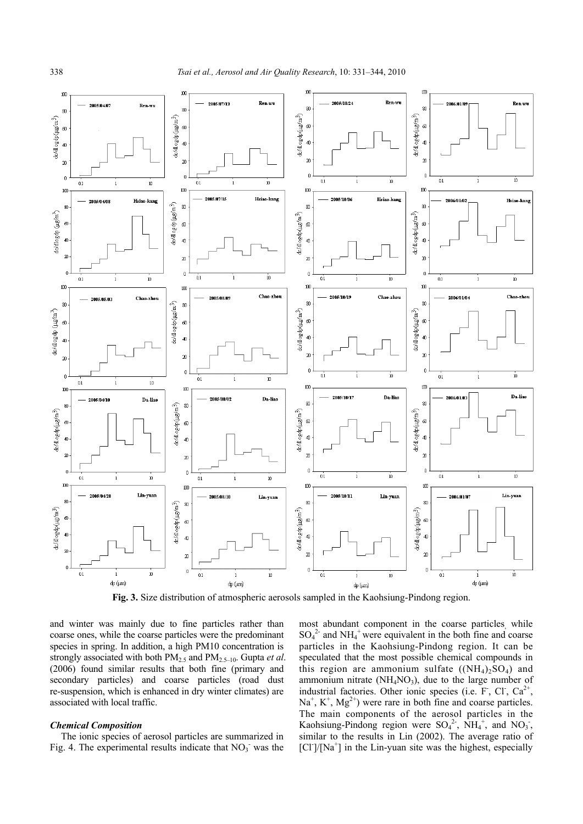

**Fig. 3.** Size distribution of atmospheric aerosols sampled in the Kaohsiung-Pindong region.

and winter was mainly due to fine particles rather than coarse ones, while the coarse particles were the predominant species in spring. In addition, a high PM10 concentration is strongly associated with both PM2.5 and PM2.5–10. Gupta *et al*. (2006) found similar results that both fine (primary and secondary particles) and coarse particles (road dust re-suspension, which is enhanced in dry winter climates) are associated with local traffic.

#### *Chemical Composition*

The ionic species of aerosol particles are summarized in Fig. 4. The experimental results indicate that  $NO<sub>3</sub>$  was the most abundant component in the coarse particles, while  $SO_4^2$  and  $NH_4^+$  were equivalent in the both fine and coarse particles in the Kaohsiung-Pindong region. It can be speculated that the most possible chemical compounds in this region are ammonium sulfate  $(NH_4)_2SO_4$  and ammonium nitrate  $(NH_4NO_3)$ , due to the large number of industrial factories. Other ionic species (i.e.  $F$ , Cl, Ca<sup>2+</sup>,  $Na<sup>+</sup>, K<sup>+</sup>, Mg<sup>2+</sup>)$  were rare in both fine and coarse particles. The main components of the aerosol particles in the Kaohsiung-Pindong region were  $SO_4^2$ ,  $NH_4^+$ , and  $NO_3$ , similar to the results in Lin (2002). The average ratio of  $\left[ \text{Cl}^{\cdot} \right] / \left[ \text{Na}^{\cdot} \right]$  in the Lin-yuan site was the highest, especially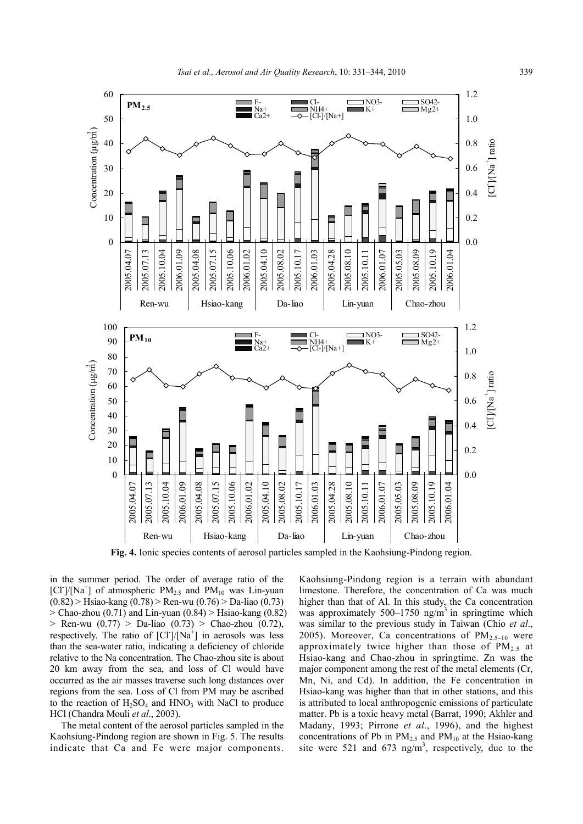

**Fig. 4.** Ionic species contents of aerosol particles sampled in the Kaohsiung-Pindong region.

in the summer period. The order of average ratio of the [Cl<sup>-</sup>]/[Na<sup>+</sup>] of atmospheric  $PM_{2.5}$  and  $PM_{10}$  was Lin-yuan (0.82) > Hsiao-kang (0.78) > Ren-wu (0.76) > Da-liao (0.73)  $>$  Chao-zhou (0.71) and Lin-yuan (0.84)  $>$  Hsiao-kang (0.82)  $>$  Ren-wu (0.77)  $>$  Da-liao (0.73)  $>$  Chao-zhou (0.72), respectively. The ratio of  $\left[ \text{CI}^{\dagger} \middle| \left( \text{Na}^{\dagger} \right) \right]$  in aerosols was less than the sea-water ratio, indicating a deficiency of chloride relative to the Na concentration. The Chao-zhou site is about 20 km away from the sea, and loss of Cl would have occurred as the air masses traverse such long distances over regions from the sea. Loss of Cl from PM may be ascribed to the reaction of  $H_2SO_4$  and  $HNO_3$  with NaCl to produce HCl (Chandra Mouli *et al*., 2003).

The metal content of the aerosol particles sampled in the Kaohsiung-Pindong region are shown in Fig. 5. The results indicate that Ca and Fe were major components.

Kaohsiung-Pindong region is a terrain with abundant limestone. Therefore, the concentration of Ca was much higher than that of Al. In this study, the Ca concentration was approximately 500–1750 ng/m<sup>3</sup> in springtime which was similar to the previous study in Taiwan (Chio *et al*., 2005). Moreover, Ca concentrations of  $PM_{2.5-10}$  were approximately twice higher than those of  $PM_{2.5}$  at Hsiao-kang and Chao-zhou in springtime. Zn was the major component among the rest of the metal elements (Cr, Mn, Ni, and Cd). In addition, the Fe concentration in Hsiao-kang was higher than that in other stations, and this is attributed to local anthropogenic emissions of particulate matter. Pb is a toxic heavy metal (Barrat, 1990; Akhler and Madany, 1993; Pirrone *et al*., 1996), and the highest concentrations of Pb in  $PM_{2.5}$  and  $PM_{10}$  at the Hsiao-kang site were 521 and 673 ng/m<sup>3</sup>, respectively, due to the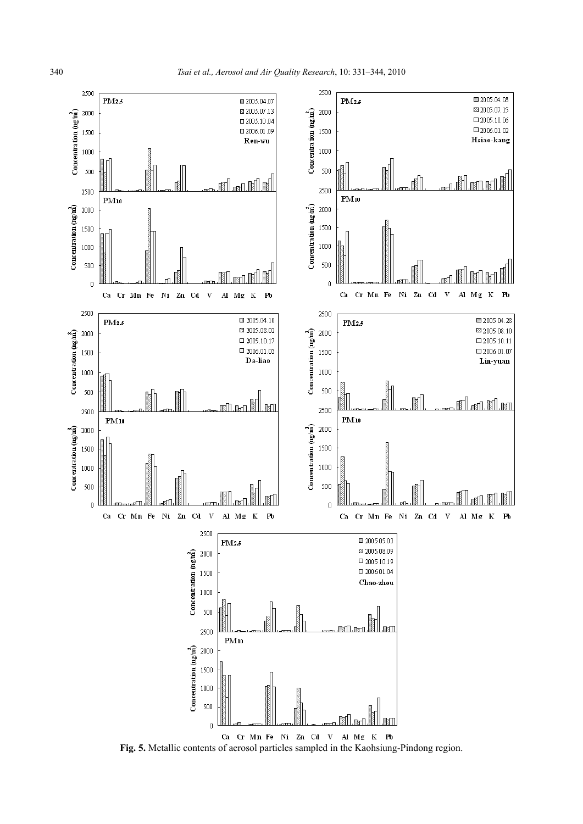

**Fig. 5.** Metallic contents of aerosol particles sampled in the Kaohsiung-Pindong region.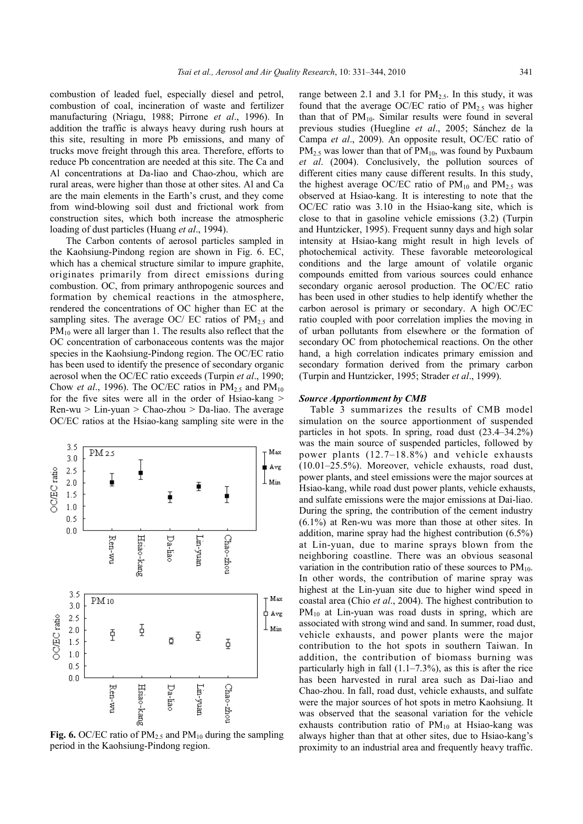combustion of leaded fuel, especially diesel and petrol, combustion of coal, incineration of waste and fertilizer manufacturing (Nriagu, 1988; Pirrone *et al*., 1996). In addition the traffic is always heavy during rush hours at this site, resulting in more Pb emissions, and many of trucks move freight through this area. Therefore, efforts to reduce Pb concentration are needed at this site. The Ca and Al concentrations at Da-liao and Chao-zhou, which are rural areas, were higher than those at other sites. Al and Ca are the main elements in the Earth's crust, and they come from wind-blowing soil dust and frictional work from construction sites, which both increase the atmospheric loading of dust particles (Huang *et al*., 1994).

 The Carbon contents of aerosol particles sampled in the Kaohsiung-Pindong region are shown in Fig. 6. EC, which has a chemical structure similar to impure graphite, originates primarily from direct emissions during combustion. OC, from primary anthropogenic sources and formation by chemical reactions in the atmosphere, rendered the concentrations of OC higher than EC at the sampling sites. The average OC/ EC ratios of  $PM<sub>2.5</sub>$  and  $PM_{10}$  were all larger than 1. The results also reflect that the OC concentration of carbonaceous contents was the major species in the Kaohsiung-Pindong region. The OC/EC ratio has been used to identify the presence of secondary organic aerosol when the OC/EC ratio exceeds (Turpin *et al*., 1990; Chow *et al.*, 1996). The OC/EC ratios in  $PM_{2.5}$  and  $PM_{10}$ for the five sites were all in the order of Hsiao-kang > Ren-wu > Lin-yuan > Chao-zhou > Da-liao. The average OC/EC ratios at the Hsiao-kang sampling site were in the



**Fig. 6.** OC/EC ratio of  $PM<sub>2.5</sub>$  and  $PM<sub>10</sub>$  during the sampling period in the Kaohsiung-Pindong region.

range between 2.1 and 3.1 for  $PM_{2.5}$ . In this study, it was found that the average OC/EC ratio of  $PM_{2.5}$  was higher than that of  $PM_{10}$ . Similar results were found in several previous studies (Huegline *et al*., 2005; Sánchez de la Campa *et al*., 2009). An opposite result, OC/EC ratio of  $PM_{2.5}$  was lower than that of  $PM_{10}$ , was found by Puxbaum *et al*. (2004). Conclusively, the pollution sources of different cities many cause different results. In this study, the highest average OC/EC ratio of  $PM_{10}$  and  $PM_{2.5}$  was observed at Hsiao-kang. It is interesting to note that the OC/EC ratio was 3.10 in the Hsiao-kang site, which is close to that in gasoline vehicle emissions (3.2) (Turpin and Huntzicker, 1995). Frequent sunny days and high solar intensity at Hsiao-kang might result in high levels of photochemical activity. These favorable meteorological conditions and the large amount of volatile organic compounds emitted from various sources could enhance secondary organic aerosol production. The OC/EC ratio has been used in other studies to help identify whether the carbon aerosol is primary or secondary. A high OC/EC ratio coupled with poor correlation implies the moving in of urban pollutants from elsewhere or the formation of secondary OC from photochemical reactions. On the other hand, a high correlation indicates primary emission and secondary formation derived from the primary carbon (Turpin and Huntzicker, 1995; Strader *et al*., 1999).

#### *Source Apportionment by CMB*

Table 3 summarizes the results of CMB model simulation on the source apportionment of suspended particles in hot spots. In spring, road dust (23.4–34.2%) was the main source of suspended particles, followed by power plants (12.7–18.8%) and vehicle exhausts (10.01–25.5%). Moreover, vehicle exhausts, road dust, power plants, and steel emissions were the major sources at Hsiao-kang, while road dust power plants, vehicle exhausts, and sulfate emissions were the major emissions at Dai-liao. During the spring, the contribution of the cement industry (6.1%) at Ren-wu was more than those at other sites. In addition, marine spray had the highest contribution (6.5%) at Lin-yuan, due to marine sprays blown from the neighboring coastline. There was an obvious seasonal variation in the contribution ratio of these sources to  $PM_{10}$ . In other words, the contribution of marine spray was highest at the Lin-yuan site due to higher wind speed in coastal area (Chio *et al*., 2004). The highest contribution to  $PM_{10}$  at Lin-yuan was road dusts in spring, which are associated with strong wind and sand. In summer, road dust, vehicle exhausts, and power plants were the major contribution to the hot spots in southern Taiwan. In addition, the contribution of biomass burning was particularly high in fall  $(1.1–7.3\%)$ , as this is after the rice has been harvested in rural area such as Dai-liao and Chao-zhou. In fall, road dust, vehicle exhausts, and sulfate were the major sources of hot spots in metro Kaohsiung. It was observed that the seasonal variation for the vehicle exhausts contribution ratio of  $PM_{10}$  at Hsiao-kang was always higher than that at other sites, due to Hsiao-kang's proximity to an industrial area and frequently heavy traffic.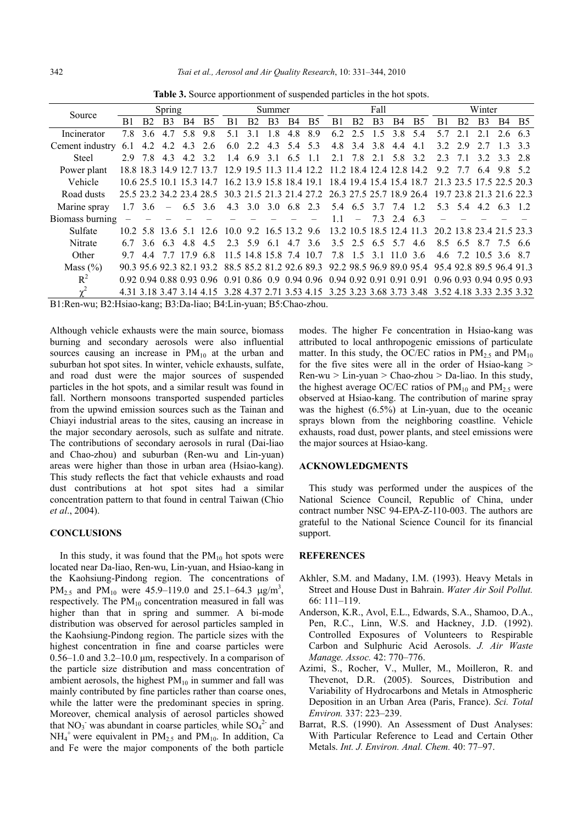| Spring                 |                |                |     | Summer         |                                                                                                                                                                                           |                |                | Fall        |           |                                                                                                                            |                   |                    | Winter |                |                                                                                                |                                                   |                |       |                                                                                                                                                                                                                                                                                                                                                                                                                                                                 |
|------------------------|----------------|----------------|-----|----------------|-------------------------------------------------------------------------------------------------------------------------------------------------------------------------------------------|----------------|----------------|-------------|-----------|----------------------------------------------------------------------------------------------------------------------------|-------------------|--------------------|--------|----------------|------------------------------------------------------------------------------------------------|---------------------------------------------------|----------------|-------|-----------------------------------------------------------------------------------------------------------------------------------------------------------------------------------------------------------------------------------------------------------------------------------------------------------------------------------------------------------------------------------------------------------------------------------------------------------------|
| B1                     | B <sub>2</sub> | B <sub>3</sub> | B4  | B <sub>5</sub> | B1                                                                                                                                                                                        | B <sub>2</sub> | B <sub>3</sub> | B4          | <b>B5</b> | B1                                                                                                                         | B <sub>2</sub>    | B <sub>3</sub>     | B4     | B <sub>5</sub> | B1                                                                                             | B <sub>2</sub>                                    | B <sub>3</sub> | B4    | <b>B5</b>                                                                                                                                                                                                                                                                                                                                                                                                                                                       |
| 78                     | 36             |                | 58  | 98             | 51                                                                                                                                                                                        | 31             | 18             | 4.8         | 8.9       | 62                                                                                                                         | 2.5               | 15                 | 38     | 54             | 57                                                                                             | $\mathcal{D}$                                     |                | 2.6   | 63                                                                                                                                                                                                                                                                                                                                                                                                                                                              |
| Cement industry<br>6.1 | 4.2            | 4.2            | 4.3 | 2.6            | 6.0                                                                                                                                                                                       | 2.2            | 4.3            | 5.4         | 5.3       | 4.8                                                                                                                        | 3.4               | 3.8                | 44     | 4.1            | 32                                                                                             | 29                                                |                | 13    | 33                                                                                                                                                                                                                                                                                                                                                                                                                                                              |
| 29                     | 78             | 43             | 42  | 32             | 14                                                                                                                                                                                        | 6.9            | 31             |             |           | 2.1                                                                                                                        | 78                | 21                 | 58     | 32             | 23                                                                                             |                                                   | 32             |       | 33 28                                                                                                                                                                                                                                                                                                                                                                                                                                                           |
|                        |                |                |     |                |                                                                                                                                                                                           |                |                |             |           |                                                                                                                            |                   |                    |        |                | 9.2                                                                                            | 77                                                | 6.4            |       | 9.8 52                                                                                                                                                                                                                                                                                                                                                                                                                                                          |
|                        |                |                |     |                |                                                                                                                                                                                           |                |                |             |           |                                                                                                                            |                   |                    |        |                |                                                                                                |                                                   |                |       |                                                                                                                                                                                                                                                                                                                                                                                                                                                                 |
|                        |                |                |     |                |                                                                                                                                                                                           |                |                |             |           |                                                                                                                            |                   |                    |        |                |                                                                                                |                                                   |                |       |                                                                                                                                                                                                                                                                                                                                                                                                                                                                 |
|                        |                |                |     |                |                                                                                                                                                                                           |                |                |             |           |                                                                                                                            |                   |                    |        | 12             |                                                                                                |                                                   |                |       |                                                                                                                                                                                                                                                                                                                                                                                                                                                                 |
| Biomass burning        |                |                |     |                |                                                                                                                                                                                           |                |                |             |           | 11                                                                                                                         | $\qquad \qquad =$ |                    | 24     | 63             |                                                                                                |                                                   |                |       |                                                                                                                                                                                                                                                                                                                                                                                                                                                                 |
|                        |                |                |     |                |                                                                                                                                                                                           |                |                |             |           |                                                                                                                            |                   |                    |        |                |                                                                                                |                                                   |                |       |                                                                                                                                                                                                                                                                                                                                                                                                                                                                 |
|                        | 36             |                | 48  | 45             |                                                                                                                                                                                           |                |                |             |           |                                                                                                                            |                   |                    |        | 4.6            |                                                                                                |                                                   |                |       |                                                                                                                                                                                                                                                                                                                                                                                                                                                                 |
| 97                     |                |                |     |                |                                                                                                                                                                                           |                |                |             |           |                                                                                                                            |                   |                    |        |                |                                                                                                |                                                   |                |       |                                                                                                                                                                                                                                                                                                                                                                                                                                                                 |
|                        |                |                |     |                |                                                                                                                                                                                           |                |                |             |           |                                                                                                                            |                   |                    |        |                |                                                                                                |                                                   |                |       |                                                                                                                                                                                                                                                                                                                                                                                                                                                                 |
|                        |                |                |     |                |                                                                                                                                                                                           |                |                |             |           |                                                                                                                            |                   |                    |        |                |                                                                                                |                                                   |                |       |                                                                                                                                                                                                                                                                                                                                                                                                                                                                 |
|                        |                |                |     |                |                                                                                                                                                                                           |                |                |             |           |                                                                                                                            |                   |                    |        |                |                                                                                                |                                                   |                |       |                                                                                                                                                                                                                                                                                                                                                                                                                                                                 |
|                        |                | $1.7 \t3.6$    | 63  |                | 18.8 18.3 14.9 12.7 13.7<br>10.6 25.5 10.1 15.3 14.7<br>25.5 23.2 34.2 23.4 28.5<br>6.5 3.6<br>10.2 5.8 13.6 5.1 12.6<br>17.9 6.8<br>90.3 95.6 92.3 82.1 93.2<br>4.31 3.18 3.47 3.14 4.15 |                |                | 2.3 5.9 6.1 |           | 6.5 1.1<br>12.9 19.5 11.3 11.4 12.2<br>4.3 3.0 3.0 6.8 2.3<br>10.0 9.2 16.5 13.2 9.6<br>4.7 3.6<br>11.5 14.8 15.8 7.4 10.7 |                   | 5.4 6.5<br>7.8 1.5 | 3.1    | 3.7 7.4<br>7.3 | 11.2 18.4 12.4 12.8 14.2<br>13.2 10.5 18.5 12.4 11.3<br>3.5 2.5 6.5 5.7<br>$11.0 \text{ } 3.6$ | 30.3 21.5 21.3 21.4 27.2 26.3 27.5 25.7 18.9 26.4 |                | 53 54 | 16.2 13.9 15.8 18.4 19.1 18.4 19.4 15.4 15.4 18.7 21.3 23.5 17.5 22.5 20.3<br>19.7 23.8 21.3 21.6 22.3<br>42 63 12<br>20.2 13.8 23.4 21.5 23.3<br>8.5 6.5 8.7 7.5 6.6<br>4.6 7.2 10.5 3.6 8.7<br>88.5 85.2 81.2 92.6 89.3 92.2 98.5 96.9 89.0 95.4 95.4 92.8 89.5 96.4 91.3<br>0.92 0.94 0.88 0.93 0.96 0.91 0.86 0.9 0.94 0.96 0.94 0.92 0.91 0.91 0.91 0.96 0.93 0.94 0.95 0.93<br>3.28 4.37 2.71 3.53 4.15 3.25 3.23 3.68 3.73 3.48 3.52 4.18 3.33 2.35 3.32 |

**Table 3.** Source apportionment of suspended particles in the hot spots.

B1:Ren-wu; B2:Hsiao-kang; B3:Da-liao; B4:Lin-yuan; B5:Chao-zhou.

Although vehicle exhausts were the main source, biomass burning and secondary aerosols were also influential sources causing an increase in  $PM_{10}$  at the urban and suburban hot spot sites. In winter, vehicle exhausts, sulfate, and road dust were the major sources of suspended particles in the hot spots, and a similar result was found in fall. Northern monsoons transported suspended particles from the upwind emission sources such as the Tainan and Chiayi industrial areas to the sites, causing an increase in the major secondary aerosols, such as sulfate and nitrate. The contributions of secondary aerosols in rural (Dai-liao and Chao-zhou) and suburban (Ren-wu and Lin-yuan) areas were higher than those in urban area (Hsiao-kang). This study reflects the fact that vehicle exhausts and road dust contributions at hot spot sites had a similar concentration pattern to that found in central Taiwan (Chio *et al*., 2004).

# **CONCLUSIONS**

In this study, it was found that the  $PM_{10}$  hot spots were located near Da-liao, Ren-wu, Lin-yuan, and Hsiao-kang in the Kaohsiung-Pindong region. The concentrations of PM<sub>2.5</sub> and PM<sub>10</sub> were 45.9–119.0 and 25.1–64.3  $\mu$ g/m<sup>3</sup>, respectively. The  $PM_{10}$  concentration measured in fall was higher than that in spring and summer. A bi-mode distribution was observed for aerosol particles sampled in the Kaohsiung-Pindong region. The particle sizes with the highest concentration in fine and coarse particles were 0.56–1.0 and 3.2–10.0 μm, respectively. In a comparison of the particle size distribution and mass concentration of ambient aerosols, the highest  $PM_{10}$  in summer and fall was mainly contributed by fine particles rather than coarse ones, while the latter were the predominant species in spring. Moreover, chemical analysis of aerosol particles showed that  $NO_3$ <sup>-</sup> was abundant in coarse particles, while  $SO_4^2$  and  $NH_4$ <sup>+</sup> were equivalent in  $PM_{2.5}$  and  $PM_{10}$ . In addition, Ca and Fe were the major components of the both particle

modes. The higher Fe concentration in Hsiao-kang was attributed to local anthropogenic emissions of particulate matter. In this study, the OC/EC ratios in  $PM_{2.5}$  and  $PM_{10}$ for the five sites were all in the order of Hsiao-kang > Ren-wu > Lin-yuan > Chao-zhou > Da-liao. In this study, the highest average OC/EC ratios of  $PM_{10}$  and  $PM_{2.5}$  were observed at Hsiao-kang. The contribution of marine spray was the highest (6.5%) at Lin-yuan, due to the oceanic sprays blown from the neighboring coastline. Vehicle exhausts, road dust, power plants, and steel emissions were the major sources at Hsiao-kang.

# **ACKNOWLEDGMENTS**

This study was performed under the auspices of the National Science Council, Republic of China, under contract number NSC 94-EPA-Z-110-003. The authors are grateful to the National Science Council for its financial support.

#### **REFERENCES**

- Akhler, S.M. and Madany, I.M. (1993). Heavy Metals in Street and House Dust in Bahrain. *Water Air Soil Pollut.*  66: 111–119.
- Anderson, K.R., Avol, E.L., Edwards, S.A., Shamoo, D.A., Pen, R.C., Linn, W.S. and Hackney, J.D. (1992). Controlled Exposures of Volunteers to Respirable Carbon and Sulphuric Acid Aerosols. *J. Air Waste Manage. Assoc.* 42: 770–776.
- Azimi, S., Rocher, V., Muller, M., Moilleron, R. and Thevenot, D.R. (2005). Sources, Distribution and Variability of Hydrocarbons and Metals in Atmospheric Deposition in an Urban Area (Paris, France). *Sci. Total Environ.* 337: 223–239.
- Barrat, R.S. (1990). An Assessment of Dust Analyses: With Particular Reference to Lead and Certain Other Metals. *Int. J. Environ. Anal. Chem.* 40: 77–97.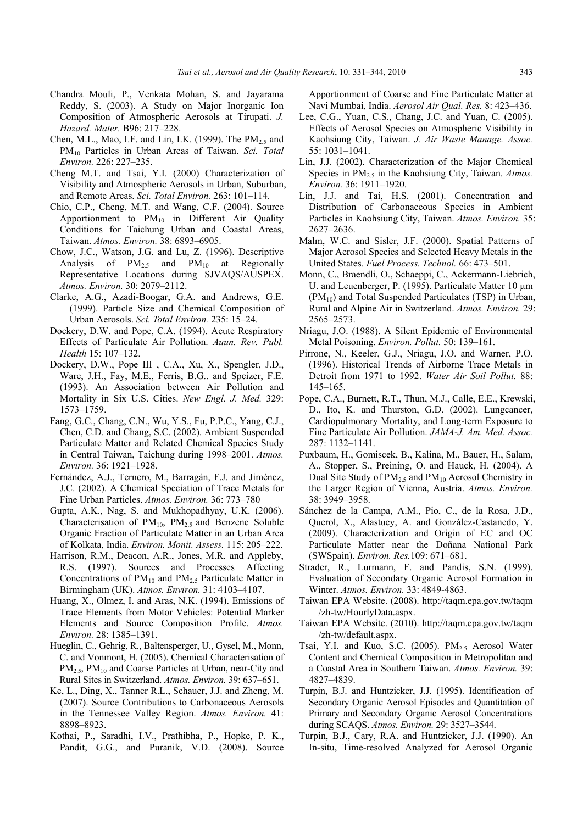- Chandra Mouli, P., Venkata Mohan, S. and Jayarama Reddy, S. (2003). A Study on Major Inorganic Ion Composition of Atmospheric Aerosols at Tirupati. *J. Hazard. Mater.* B96: 217–228.
- Chen, M.L., Mao, I.F. and Lin, I.K. (1999). The  $PM<sub>2.5</sub>$  and PM10 Particles in Urban Areas of Taiwan. *Sci. Total Environ.* 226: 227–235.
- Cheng M.T. and Tsai, Y.I. (2000) Characterization of Visibility and Atmospheric Aerosols in Urban, Suburban, and Remote Areas. *Sci. Total Environ.* 263: 101–114.
- Chio, C.P., Cheng, M.T. and Wang, C.F. (2004). Source Apportionment to  $PM_{10}$  in Different Air Quality Conditions for Taichung Urban and Coastal Areas, Taiwan. *Atmos. Environ.* 38: 6893–6905.
- Chow, J.C., Watson, J.G. and Lu, Z. (1996). Descriptive Analysis of  $PM_{2.5}$  and  $PM_{10}$  at Regionally Representative Locations during SJVAQS/AUSPEX. *Atmos. Environ.* 30: 2079–2112.
- Clarke, A.G., Azadi-Boogar, G.A. and Andrews, G.E. (1999). Particle Size and Chemical Composition of Urban Aerosols. *Sci. Total Environ.* 235: 15–24.
- Dockery, D.W. and Pope, C.A. (1994). Acute Respiratory Effects of Particulate Air Pollution. *Auun. Rev. Publ. Health* 15: 107–132.
- Dockery, D.W., Pope III , C.A., Xu, X., Spengler, J.D., Ware, J.H., Fay, M.E., Ferris, B.G.. and Speizer, F.E. (1993). An Association between Air Pollution and Mortality in Six U.S. Cities. *New Engl. J. Med.* 329: 1573–1759.
- Fang, G.C., Chang, C.N., Wu, Y.S., Fu, P.P.C., Yang, C.J., Chen, C.D. and Chang, S.C. (2002). Ambient Suspended Particulate Matter and Related Chemical Species Study in Central Taiwan, Taichung during 1998–2001. *Atmos. Environ.* 36: 1921–1928.
- Fernández, A.J., Ternero, M., Barragán, F.J. and Jiménez, J.C. (2002). A Chemical Speciation of Trace Metals for Fine Urban Particles. *Atmos. Environ.* 36: 773–780
- Gupta, A.K., Nag, S. and Mukhopadhyay, U.K. (2006). Characterisation of  $PM_{10}$ ,  $PM_{2.5}$  and Benzene Soluble Organic Fraction of Particulate Matter in an Urban Area of Kolkata, India. *Environ. Monit. Assess.* 115: 205–222.
- Harrison, R.M., Deacon, A.R., Jones, M.R. and Appleby, R.S. (1997). Sources and Processes Affecting Concentrations of  $PM_{10}$  and  $PM_{2.5}$  Particulate Matter in Birmingham (UK). *Atmos. Environ.* 31: 4103–4107.
- Huang, X., Olmez, I. and Aras, N.K. (1994). Emissions of Trace Elements from Motor Vehicles: Potential Marker Elements and Source Composition Profile. *Atmos. Environ.* 28: 1385–1391.
- Hueglin, C., Gehrig, R., Baltensperger, U., Gysel, M., Monn, C. and Vonmont, H. (2005). Chemical Characterisation of PM<sub>2.5</sub>, PM<sub>10</sub> and Coarse Particles at Urban, near-City and Rural Sites in Switzerland. *Atmos. Environ.* 39: 637–651.
- Ke, L., Ding, X., Tanner R.L., Schauer, J.J. and Zheng, M. (2007). Source Contributions to Carbonaceous Aerosols in the Tennessee Valley Region. *Atmos. Environ.* 41: 8898–8923.
- Kothai, P., Saradhi, I.V., Prathibha, P., Hopke, P. K., Pandit, G.G., and Puranik, V.D. (2008). Source

Apportionment of Coarse and Fine Particulate Matter at Navi Mumbai, India. *Aerosol Air Qual. Res.* 8: 423–436.

- Lee, C.G., Yuan, C.S., Chang, J.C. and Yuan, C. (2005). Effects of Aerosol Species on Atmospheric Visibility in Kaohsiung City, Taiwan. *J. Air Waste Manage. Assoc.*  55: 1031–1041.
- Lin, J.J. (2002). Characterization of the Major Chemical Species in PM2.5 in the Kaohsiung City, Taiwan. *Atmos. Environ.* 36: 1911–1920.
- Lin, J.J. and Tai, H.S. (2001). Concentration and Distribution of Carbonaceous Species in Ambient Particles in Kaohsiung City, Taiwan. *Atmos. Environ.* 35: 2627–2636.
- Malm, W.C. and Sisler, J.F. (2000). Spatial Patterns of Major Aerosol Species and Selected Heavy Metals in the United States. *Fuel Process. Technol.* 66: 473–501.
- Monn, C., Braendli, O., Schaeppi, C., Ackermann-Liebrich, U. and Leuenberger, P. (1995). Particulate Matter 10 μm (PM10) and Total Suspended Particulates (TSP) in Urban, Rural and Alpine Air in Switzerland. *Atmos. Environ.* 29: 2565–2573.
- Nriagu, J.O. (1988). A Silent Epidemic of Environmental Metal Poisoning. *Environ. Pollut.* 50: 139–161.
- Pirrone, N., Keeler, G.J., Nriagu, J.O. and Warner, P.O. (1996). Historical Trends of Airborne Trace Metals in Detroit from 1971 to 1992. *Water Air Soil Pollut.* 88: 145–165.
- Pope, C.A., Burnett, R.T., Thun, M.J., Calle, E.E., Krewski, D., Ito, K. and Thurston, G.D. (2002). Lungcancer, Cardiopulmonary Mortality, and Long-term Exposure to Fine Particulate Air Pollution. *JAMA-J. Am. Med. Assoc.* 287: 1132–1141.
- Puxbaum, H., Gomiscek, B., Kalina, M., Bauer, H., Salam, A., Stopper, S., Preining, O. and Hauck, H. (2004). A Dual Site Study of  $PM<sub>2.5</sub>$  and  $PM<sub>10</sub>$  Aerosol Chemistry in the Larger Region of Vienna, Austria. *Atmos. Environ.* 38: 3949–3958.
- Sánchez de la Campa, A.M., Pio, C., de la Rosa, J.D., Querol, X., Alastuey, A. and González-Castanedo, Y. (2009). Characterization and Origin of EC and OC Particulate Matter near the Doñana National Park (SWSpain). *Environ. Res.*109: 671–681.
- Strader, R., Lurmann, F. and Pandis, S.N. (1999). Evaluation of Secondary Organic Aerosol Formation in Winter. *Atmos. Environ.* 33: 4849-4863.
- Taiwan EPA Website. (2008). http://taqm.epa.gov.tw/taqm /zh-tw/HourlyData.aspx.
- Taiwan EPA Website. (2010). http://taqm.epa.gov.tw/taqm /zh-tw/default.aspx.
- Tsai, Y.I. and Kuo, S.C. (2005). PM<sub>2.5</sub> Aerosol Water Content and Chemical Composition in Metropolitan and a Coastal Area in Southern Taiwan. *Atmos. Environ.* 39: 4827–4839.
- Turpin, B.J. and Huntzicker, J.J. (1995). Identification of Secondary Organic Aerosol Episodes and Quantitation of Primary and Secondary Organic Aerosol Concentrations during SCAQS. *Atmos. Environ.* 29: 3527–3544.
- Turpin, B.J., Cary, R.A. and Huntzicker, J.J. (1990). An In-situ, Time-resolved Analyzed for Aerosol Organic